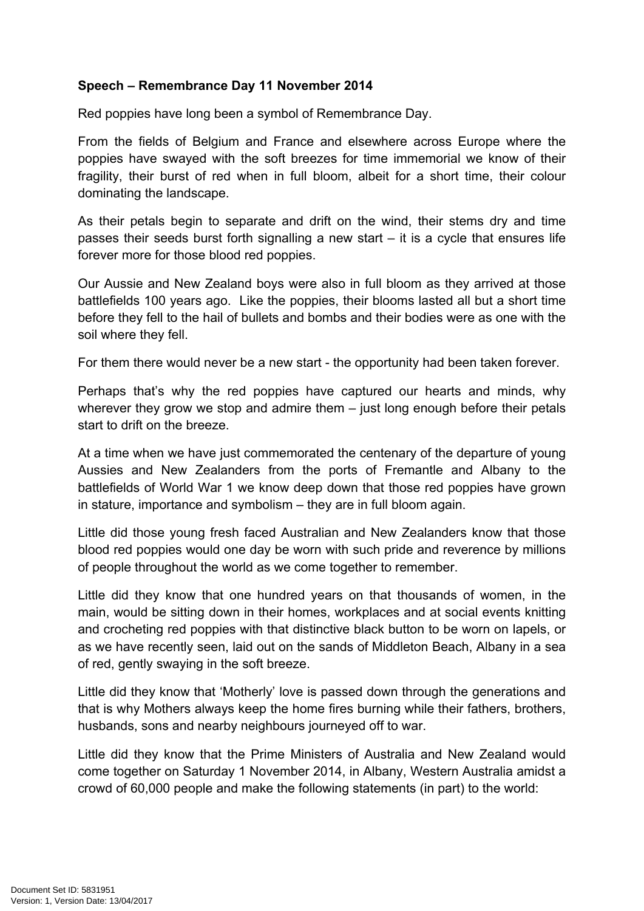## **Speech – Remembrance Day 11 November 2014**

Red poppies have long been a symbol of Remembrance Day.

From the fields of Belgium and France and elsewhere across Europe where the poppies have swayed with the soft breezes for time immemorial we know of their fragility, their burst of red when in full bloom, albeit for a short time, their colour dominating the landscape.

As their petals begin to separate and drift on the wind, their stems dry and time passes their seeds burst forth signalling a new start  $-$  it is a cycle that ensures life forever more for those blood red poppies.

Our Aussie and New Zealand boys were also in full bloom as they arrived at those battlefields 100 years ago. Like the poppies, their blooms lasted all but a short time before they fell to the hail of bullets and bombs and their bodies were as one with the soil where they fell.

For them there would never be a new start - the opportunity had been taken forever.

Perhaps that's why the red poppies have captured our hearts and minds, why wherever they grow we stop and admire them – just long enough before their petals start to drift on the breeze.

At a time when we have just commemorated the centenary of the departure of young Aussies and New Zealanders from the ports of Fremantle and Albany to the battlefields of World War 1 we know deep down that those red poppies have grown in stature, importance and symbolism – they are in full bloom again.

Little did those young fresh faced Australian and New Zealanders know that those blood red poppies would one day be worn with such pride and reverence by millions of people throughout the world as we come together to remember.

Little did they know that one hundred years on that thousands of women, in the main, would be sitting down in their homes, workplaces and at social events knitting and crocheting red poppies with that distinctive black button to be worn on lapels, or as we have recently seen, laid out on the sands of Middleton Beach, Albany in a sea of red, gently swaying in the soft breeze.

Little did they know that 'Motherly' love is passed down through the generations and that is why Mothers always keep the home fires burning while their fathers, brothers, husbands, sons and nearby neighbours journeyed off to war.

Little did they know that the Prime Ministers of Australia and New Zealand would come together on Saturday 1 November 2014, in Albany, Western Australia amidst a crowd of 60,000 people and make the following statements (in part) to the world: